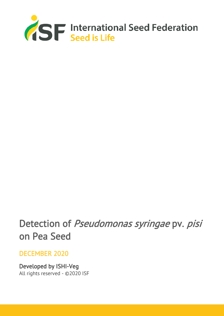

# Detection of Pseudomonas syringae pv. pisi on Pea Seed

# DECEMBER 2020

Developed by ISHI-Veg All rights reserved - ©2020 ISF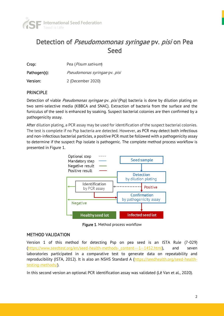

# Detection of Pseudomomonas syringae pv. pisi on Pea **Seed**

| Crop:        | Pea (Pisum sativum)           |  |
|--------------|-------------------------------|--|
| Pathogen(s): | Pseudomonas syringae pv. pisi |  |
| Version:     | 2 (December 2020)             |  |

#### PRINCIPLE

Detection of viable *Pseudomonas syringae* pv. *pisi* (Psp) bacteria is done by dilution plating on two semi-selective media (KBBCA and SNAC). Extraction of bacteria from the surface and the funiculus of the seed is enhanced by soaking. Suspect bacterial colonies are then confirmed by a pathogenicity assay.

After dilution plating, a PCR assay may be used for identification of the suspect bacterial colonies. The test is complete if no Psp bacteria are detected. However, as PCR may detect both infectious and non-infectious bacterial particles, a positive PCR must be followed with a pathogenicity assay to determine if the suspect Psp isolate is pathogenic. The complete method process workflow is presented in Figure 1.



Figure 1. Method process workflow

#### METHOD VALIDATION

Version 1 of this method for detecting Psp on pea seed is an ISTA Rule (7-029) (https://www.seedtest.org/en/seed-health-methods-content---1--1452.html), and seven laboratories participated in a comparative test to generate data on repeatability and reproducibility (ISTA, 2012). It is also an NSHS Standard A [\(https://seedhealth.org/seed-health](https://seedhealth.org/seed-health-testing-methods/)[testing-methods/\)](https://seedhealth.org/seed-health-testing-methods/).

In this second version an optional PCR identification assay was validated (Lê Van et al., 2020).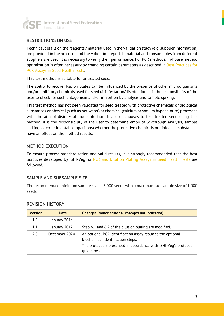

#### RESTRICTIONS ON USE

Technical details on the reagents / material used in the validation study (e.g. supplier information) are provided in the protocol and the validation report. If material and consumables from different suppliers are used, it is necessary to verify their performance. For PCR methods, in-house method optimization is often necessary by changing certain parameters as described in [Best Practices for](https://www.worldseed.org/wp-content/uploads/2019/12/Best-Practices_PCR_Dec_2019.pdf)  [PCR Assays in Seed Health Tests.](https://www.worldseed.org/wp-content/uploads/2019/12/Best-Practices_PCR_Dec_2019.pdf)

This test method is suitable for untreated seed.

The ability to recover Psp on plates can be influenced by the presence of other microorganisms and/or inhibitory chemicals used for seed disinfestation/disinfection. It is the responsibility of the user to check for such antagonism and/or inhibition by analysis and sample spiking.

This test method has not been validated for seed treated with protective chemicals or biological substances or physical (such as hot water) or chemical (calcium or sodium hypochlorite) processes with the aim of disinfestation/disinfection. If a user chooses to test treated seed using this method, it is the responsibility of the user to determine empirically (through analysis, sample spiking, or experimental comparisons) whether the protective chemicals or biological substances have an effect on the method results.

#### METHOD EXECUTION

To ensure process standardization and valid results, it is strongly recommended that the best practices developed by ISHI-Veg for **PCR** and [Dilution Plating Assays in](https://www.worldseed.org/our-work/phytosanitary-matters/seed-health/ishi-veg-method-development/) Seed Health Tests are followed.

#### SAMPLE AND SUBSAMPLE SIZE

The recommended minimum sample size is 5,000 seeds with a maximum subsample size of 1,000 seeds.

| <b>Version</b> | <b>Date</b>   | Changes (minor editorial changes not indicated)                                                                                                                     |
|----------------|---------------|---------------------------------------------------------------------------------------------------------------------------------------------------------------------|
| 1.0            | January 2014  |                                                                                                                                                                     |
| 1.1            | January 2017  | Step 6.1 and 6.2 of the dilution plating are modified.                                                                                                              |
| 2.0            | December 2020 | An optional PCR identification assay replaces the optional<br>biochemical identification steps.<br>The protocol is presented in accordance with ISHI-Veg's protocol |
|                |               | quidelines                                                                                                                                                          |

#### REVISION HISTORY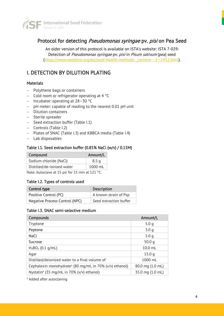

### Protocol for detecting Pseudomonas syringae pv. pisi on Pea Seed

An older version of this protocol is available on ISTA's website: ISTA 7-029: Detection of Pseudomonas syringae pv. pisi in Pisum sativum (pea) seed [\(https://www.seedtest.org/en/seed-health-methods-\\_content---1--1452.html\)](https://www.seedtest.org/en/seed-health-methods-_content---1--1452.html).

## I. DETECTION BY DILUTION PLATING

#### **Materials**

- − Polythene bags or containers
- − Cold room or refrigerator operating at 4 °C
- − Incubator: operating at 28–30 °C
- − pH meter: capable of reading to the nearest 0.01 pH unit
- − Dilution containers
- − Sterile spreader
- − Seed extraction buffer (Table I.1)
- − Controls (Table I.2)
- − Plates of SNAC (Table I.3) and KBBCA media (Table I.4)
- − Lab disposables

#### Table I.1. Seed extraction buffer (0.85% NaCl (w/v) / 0.15M)

| Compound                   | Amount/L         |
|----------------------------|------------------|
| Sodium chloride (NaCl)     | 8.5 <sub>q</sub> |
| Distilled/de-ionized water | 1000 mL          |
| $\cdots$ $\cdots$          |                  |

Note: Autoclave at 15 psi for 15 min at 121 °C.

#### Table I.2. Types of controls used

| Control type                   | <b>Description</b>     |
|--------------------------------|------------------------|
| Positive Control (PC)          | A known strain of Psp  |
| Negative Process Control (NPC) | Seed extraction buffer |

#### Table I.3. SNAC semi-selective medium

| Compounds                                                           | Amount/L          |
|---------------------------------------------------------------------|-------------------|
| Tryptone                                                            | 5.0 <sub>q</sub>  |
| Peptone                                                             | 3.0 <sub>q</sub>  |
| NaCl                                                                | 5.0q              |
| Sucrose                                                             | 50.0 $q$          |
| $H_3BO_3$ (0.1 g/mL)                                                | 10.0 mL           |
| Agar                                                                | 15.0 <sub>q</sub> |
| Distilled/deionized water to a final volume of                      | $1000$ ml         |
| Cephalexin monohydrate <sup>a</sup> (80 mg/mL in 70% (v/v) ethanol) | 80.0 mg (1.0 mL)  |
| Nystatin <sup>a</sup> (35 mg/mL in 70% (v/v) ethanol)               | 35.0 mg (1.0 mL)  |

a Added after autoclaving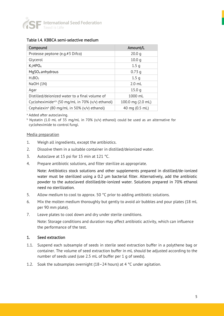

#### Table I.4. KBBCA semi-selective medium

| Compound                                                     | Amount/L          |
|--------------------------------------------------------------|-------------------|
| Proteose peptone (e.g.#3 Difco)                              | 20.0 <sub>q</sub> |
| Glycerol                                                     | 10.0 <sub>q</sub> |
| K <sub>2</sub> HPO <sub>4</sub>                              | 1.5 <sub>q</sub>  |
| $MqSO4$ anhydrous                                            | 0.73q             |
| $H_3BO_3$                                                    | 1.5 <sub>q</sub>  |
| NaOH (1N)                                                    | $2.0$ ml          |
| Agar                                                         | 15.0 <sub>q</sub> |
| Distilled/deionized water to a final volume of               | 1000 mL           |
| Cycloheximide <sup>a,b</sup> (50 mg/mL in 70% (v/v) ethanol) | 100.0 mg (2.0 mL) |
| Cephalexin <sup>a</sup> (80 mg/mL in 50% (v/v) ethanol)      | 40 mg (0.5 mL)    |

<sup>a</sup> Added after autoclaving.

<sup>b</sup> Nystatin (1.0 mL of 35 mg/mL in 70% (v/v) ethanol) could be used as an alternative for cycloheximide to control fungi.

#### Media preparation

- 1. Weigh all ingredients, except the antibiotics.
- 2. Dissolve them in a suitable container in distilled/deionized water.
- 3. Autoclave at 15 psi for 15 min at 121 °C.
- 4. Prepare antibiotic solutions, and filter sterilize as appropriate.

Note: Antibiotics stock solutions and other supplements prepared in distilled/de-ionized water must be sterilized using a 0.2 µm bacterial filter. Alternatively, add the antibiotic powder to the autoclaved distilled/de-ionized water. Solutions prepared in 70% ethanol need no sterilization.

- 5. Allow medium to cool to approx. 50 °C prior to adding antibiotic solutions.
- 6. Mix the molten medium thoroughly but gently to avoid air bubbles and pour plates (18 mL per 90 mm plate).
- 7. Leave plates to cool down and dry under sterile conditions.

Note: Storage conditions and duration may affect antibiotic activity, which can influence the performance of the test.

#### 1. Seed extraction

- 1.1. Suspend each subsample of seeds in sterile seed extraction buffer in a polythene bag or container. The volume of seed extraction buffer in mL should be adjusted according to the number of seeds used (use 2.5 mL of buffer per 1 g of seeds).
- 1.2. Soak the subsamples overnight (18–24 hours) at 4 °C under agitation.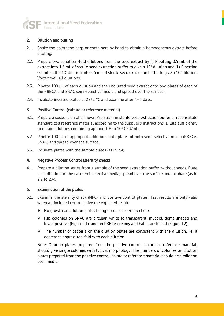

#### 2. Dilution and plating

- 2.1. Shake the polythene bags or containers by hand to obtain a homogeneous extract before diluting.
- 2.2. Prepare two serial ten-fold dilutions from the seed extract by i.) Pipetting 0.5 mL of the extract into 4.5 mL of sterile seed extraction buffer to give a  $10<sup>1</sup>$  dilution and ii.) Pipetting 0.5 mL of the 10<sup>1</sup> dilution into 4.5 mL of sterile seed extraction buffer to give a 10<sup>2</sup> dilution. Vortex well all dilutions.
- 2.3. Pipette 100 µL of each dilution and the undiluted seed extract onto two plates of each of the KBBCA and SNAC semi-selective media and spread over the surface.
- 2.4. Incubate inverted plates at  $28\pm2$  °C and examine after 4-5 days.

#### 3. Positive Control (culture or reference material)

- 3.1. Prepare a suspension of a known Psp strain in sterile seed extraction buffer or reconstitute standardized reference material according to the supplier's instructions. Dilute sufficiently to obtain dilutions containing approx.  $10^{\rm 2}$  to  $10^{\rm 3}$  CFU/mL.
- 3.2. Pipette 100 µL of appropriate dilutions onto plates of both semi-selective media (KBBCA, SNAC) and spread over the surface.
- 3.3. Incubate plates with the sample plates (as in 2.4).

#### 4. Negative Process Control (sterility check)

4.1. Prepare a dilution series from a sample of the seed extraction buffer, without seeds. Plate each dilution on the two semi-selective media, spread over the surface and incubate (as in 2.2 to 2.4).

#### 5. Examination of the plates

- 5.1. Examine the sterility check (NPC) and positive control plates. Test results are only valid when all included controls give the expected result:
	- $\triangleright$  No growth on dilution plates being used as a sterility check.
	- $\triangleright$  Psp colonies on SNAC are circular, white to transparent, mucoid, dome shaped and levan positive (Figure I.1), and on KBBCA creamy and half-translucent (Figure I.2).
	- $\triangleright$  The number of bacteria on the dilution plates are consistent with the dilution, i.e. it decreases approx. ten-fold with each dilution.

Note: Dilution plates prepared from the positive control isolate or reference material, should give single colonies with typical morphology. The numbers of colonies on dilution plates prepared from the positive control isolate or reference material should be similar on both media.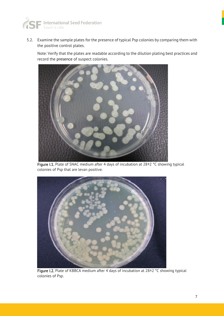

5.2. Examine the sample plates for the presence of typical Psp colonies by comparing them with the positive control plates.

Note: Verify that the plates are readable according to the dilution plating best practices and record the presence of suspect colonies.



Figure I.1. Plate of SNAC medium after 4 days of incubation at 28±2 °C showing typical colonies of Psp that are levan positive.



Figure I.2. Plate of KBBCA medium after 4 days of incubation at 28±2 °C showing typical colonies of Psp.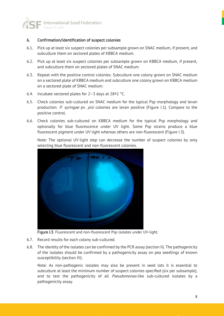

#### 6. Confirmation/identification of suspect colonies

- 6.1. Pick up at least six suspect colonies per subsample grown on SNAC medium, if present, and subculture them on sectored plates of KBBCA medium.
- 6.2. Pick up at least six suspect colonies per subsample grown on KBBCA medium, if present, and subculture them on sectored plates of SNAC medium.
- 6.3. Repeat with the positive control colonies. Subculture one colony grown on SNAC medium on a sectored plate of KBBCA medium and subculture one colony grown on KBBCA medium on a sectored plate of SNAC medium.
- 6.4. Incubate sectored plates for  $2-3$  days at  $28\pm2$  °C.
- 6.5. Check colonies sub-cultured on SNAC medium for the typical Psp morphology and levan production. P. syringae pv. pisi colonies are levan positive (Figure I.1). Compare to the positive control.
- 6.6. Check colonies sub-cultured on KBBCA medium for the typical Psp morphology and optionally for blue fluorescence under UV light. Some Psp strains produce a blue fluorescent pigment under UV light whereas others are non-fluorescent (Figure I.3).

Note: The optional UV-light step can decrease the number of suspect colonies by only selecting blue fluorescent and non-fluorescent colonies.



Figure I.3. Fluorescent and non-fluorescent Psp isolates under UV-light.

- 6.7. Record results for each colony sub-cultured.
- 6.8. The identity of the isolates can be confirmed by the PCR assay (section II). The pathogenicity of the isolates should be confirmed by a pathogenicity assay on pea seedlings of known susceptibility (section III).

Note: As non-pathogenic isolates may also be present in seed lots it is essential to subculture at least the minimum number of suspect colonies specified (six per subsample), and to test the pathogenicity of all *Pseudomonas*-like sub-cultured isolates by a pathogenicity assay.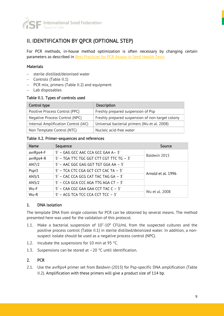

# II. IDENTIFICATION BY QPCR (OPTIONAL STEP)

For PCR methods, in-house method optimization is often necessary by changing certain parameters as described in **Best Practices for PCR Assays in Seed Health Tests.** 

#### **Materials**

- − sterile distilled/deionised water
- − Controls (Table II.1)
- − PCR mix, primers (Table II.2) and equipment
- − Lab disposables

#### Table II.1. Types of controls used

| Control type                         | <b>Description</b>                               |  |
|--------------------------------------|--------------------------------------------------|--|
| Positive Process Control (PPC)       | Freshly prepared suspension of Psp               |  |
| Negative Process Control (NPC)       | Freshly prepared suspension of non-target colony |  |
| Internal Amplification Control (IAC) | Universal bacterial primers (Wu et al. 2008)     |  |
| Non Template Control (NTC)           | Nucleic acid-free water                          |  |

#### Table II.2. Primer-sequences and references

| <b>Name</b> | Sequence                                 | Source             |
|-------------|------------------------------------------|--------------------|
| avrRps4-F   | 5' - GAG GCC AAC CCA GCC GAA A-3'        |                    |
| avrRps4-R   | 5' - TGA TTC TGC GGT CTT CGT TTC TG - 3' | Baldwin 2015       |
| AN7/2       | 5' - AAC GGC GAG GGT TGT GGA AA - 3'     |                    |
| Pspi3       | 5' - TCA CTC CGA GCT CCT CAC TA - 3'     |                    |
| AN3/1       | 5' - CAC CCA GCG CAT TAC TAG GA - 3'     | Arnold et al. 1996 |
| AN3/2       | $5'$ – CCA GCA CCC AGA TTG AGA CT – $3'$ |                    |
| Wu-F        | 5' - CAA CGC GAA GAA CCT TAC C - 3'      |                    |
| Wu-R        | 5' - ACG TCA TCC CCA CCT TCC - 3'        | Wu et al. 2008     |

#### 1. DNA isolation

The template DNA from single colonies for PCR can be obtained by several means. The method presented here was used for the validation of this protocol.

- 1.1. Make a bacterial suspension of  $10<sup>7</sup>$ -10<sup>8</sup> CFU/mL from the suspected cultures and the positive process control (Table II.1) in sterile distilled/deionized water. In addition, a nonsuspect isolate should be used as a negative process control (NPC).
- 1.2. Incubate the suspensions for 10 min at 95 °C.
- 1.3. Suspensions can be stored at  $-20$  °C until identification.

#### 2. PCR

2.1. Use the avrRps4 primer set from Baldwin (2015) for Psp-specific DNA amplification (Table II.2). Amplification with these primers will give a product size of 114 bp.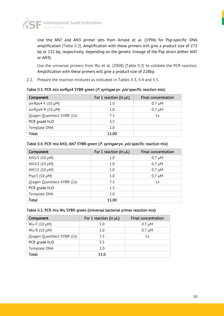

Use the AN7 and AN3 primer sets from Arnold et al. (1996) for Psp-specific DNA amplification (Table II.2). Amplification with these primers will give a product size of 272 bp or 132 bp, respectively, depending on the genetic lineage of the Psp strain (either AN7 or AN3).

Use the universal primers from Wu et al. (2008) (Table II.2) to validate the PCR reaction. Amplification with these primers will give a product size of 228bp.

2.2. Prepare the reaction mixtures as indicated in Tables II.3, II.4 and II.5.

Table II.3. PCR mix avrRps4 SYBR-green (P. syringae pv. pisi specific reaction mix)

| Component                   | For 1 reaction (in $\mu$ L) | <b>Final concentration</b> |
|-----------------------------|-----------------------------|----------------------------|
| avrRps4-F $(10 \mu M)$      | 1.0                         | $0.7 \mu M$                |
| avrRps4-R $(10 \mu M)$      | 1.0                         | $0.7 \mu M$                |
| Qiagen Quantitect SYBR (2x) | 7.5                         | 1x                         |
| PCR grade $H_2O$            | 3.5                         |                            |
| Template DNA                | 2.0                         |                            |
| Total                       | 15.00                       |                            |

| Component                   | For 1 reaction (in µL) | <b>Final concentration</b> |
|-----------------------------|------------------------|----------------------------|
| AN3/1 (10 µM)               | 1.0                    | $0.7 \mu M$                |
| AN3/2 (10 µM)               | 1.0                    | $0.7 \mu M$                |
| AN7/2 $(10 \mu M)$          | 1.0                    | $0.7 \mu M$                |
| Pspi $3(10 \mu M)$          | 1.0                    | $0.7 \mu M$                |
| Qiagen Quantitect SYBR (2x) | 7.5                    | 1x                         |
| PCR grade $H_2O$            | 1.5                    |                            |
| Template DNA                | 2.0                    |                            |
| Total                       | 15.00                  |                            |

#### Table II.4. PCR mix AN3, AN7 SYBR-green (P. syringae pv. pisi specific reaction mix)

#### Table II.5. PCR mix Wu SYBR-green (Universal bacterial primer reaction mix)

| Component                   | For 1 reaction (in $\mu$ L) | <b>Final concentration</b> |
|-----------------------------|-----------------------------|----------------------------|
| Wu-F $(10 \mu M)$           | 1.0                         | $0.7 \mu M$                |
| Wu-R (10 µM)                | 1.0                         | $0.7 \mu M$                |
| Qiagen Quantitect SYBR (2x) | 75                          | 1x                         |
| PCR grade $H_2O$            | 3.5                         |                            |
| Template DNA                | 2.0                         |                            |
| <b>Total</b>                | 15.0                        |                            |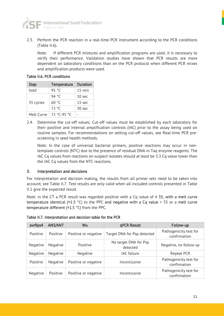

2.3. Perform the PCR reaction in a real-time PCR instrument according to the PCR conditions (Table II.6).

Note: If different PCR mixtures and amplification programs are used, it is necessary to verify their performance. Validation studies have shown that PCR results are more dependent on laboratory conditions than on the PCR protocol when different PCR mixes and amplification products were used.

#### Table II.6. PCR conditions

| <b>Step</b> | <b>Temperature</b> | <b>Duration</b>   |
|-------------|--------------------|-------------------|
| hold        | 95 °C              | $15$ min          |
|             | 94 °C              | 10 sec            |
| 35 cycles   | 60 °C              | 15 <sub>sec</sub> |
|             | 72 °C              | 30 <sub>sec</sub> |
| Melt Curve  | 72 °C-95 °C        |                   |

2.4. Determine the cut-off values. Cut-off values must be established by each laboratory for their positive and internal amplification controls (IAC) prior to the assay being used on routine samples. For recommendations on setting cut-off values, see Real-time PCR prescreening in seed health methods.

Note: In the case of universal bacterial primers, positive reactions may occur in nontemplate controls (NTC) due to the presence of residual DNA in Taq enzyme reagents. The IAC Cq values from reactions on suspect isolates should at least be 3.3 Cq value lower than the IAC Cq values from the NTC reactions.

#### 3. Interpretation and decisions

For interpretation and decision making, the results from all primer sets need to be taken into account, see Table II.7. Test results are only valid when all included controls presented in Table II.1 give the expected result.

Note: in the CT a PCR result was regarded positive with a Cq value of  $\leq 35$ , with a melt curve temperature identical ( $\pm$ 1.5 °C) to the PPC and negative with a Cq value > 35 or a melt curve temperature different (±1.5 °C) from the PPC.

| avrRps4  | AN3/AN7  | Wu                   | qPCR Result                       | Follow-up                              |
|----------|----------|----------------------|-----------------------------------|----------------------------------------|
| Positive | Positive | Positive or negative | Target DNA for Psp detected       | Pathogenicity test for<br>confirmation |
| Negative | Negative | Positive             | No target DNA for Psp<br>detected | Negative, no follow up                 |
| Negative | Negative | Negative             | <b>IAC</b> failure                | Repeat PCR                             |
| Positive | Negative | Positive or negative | Inconclusive                      | Pathogenicity test for<br>confirmation |
| Negative | Positive | Positive or negative | Inconclusive                      | Pathogenicity test for<br>confirmation |

Table II.7. Interpretation and decision table for the PCR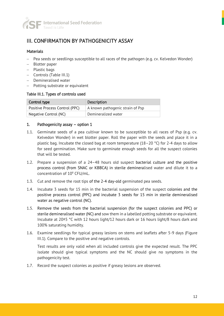

# III. CONFIRMATION BY PATHOGENICITY ASSAY

#### **Materials**

- − Pea seeds or seedlings susceptible to all races of the pathogen (e.g. cv. Kelvedon Wonder)
- − Blotter paper
- − Plastic bags
- − Controls (Table III.1)
- − Demineralised water
- − Potting substrate or equivalent

#### Table III.1. Types of controls used

| Control type                   | <b>Description</b>               |  |
|--------------------------------|----------------------------------|--|
| Positive Process Control (PPC) | A known pathogenic strain of Psp |  |
| Negative Control (NC)          | Demineralized water              |  |

#### 1. Pathogenicity assay – option 1

- 1.1. Germinate seeds of a pea cultivar known to be susceptible to all races of Psp (e.g. cv. Kelvedon Wonder) in wet blotter paper. Roll the paper with the seeds and place it in a plastic bag. Incubate the closed bag at room temperature (18–20  $^{\circ}$ C) for 2-4 days to allow for seed germination. Make sure to germinate enough seeds for all the suspect colonies that will be tested.
- 1.2. Prepare a suspension of a 24–48 hours old suspect bacterial culture and the positive process control (from SNAC or KBBCA) in sterile demineralised water and dilute it to a concentration of 10<sup>8</sup> CFU/mL.
- 1.3. Cut and remove the root tips of the 2-4 day-old germinated pea seeds.
- 1.4. Incubate 3 seeds for 15 min in the bacterial suspension of the suspect colonies and the positive process control (PPC) and incubate 3 seeds for 15 min in sterile demineralised water as negative control (NC).
- 1.5. Remove the seeds from the bacterial suspension (for the suspect colonies and PPC) or sterile demineralised water (NC) and sow them in a labelled potting substrate or equivalent. Incubate at 20±5 °C with 12 hours light/12 hours dark or 16 hours light/8 hours dark and 100% saturating humidity.
- 1.6. Examine seedlings for typical greasy lesions on stems and leaflets after 5-9 days (Figure III.1). Compare to the positive and negative controls.

Test results are only valid when all included controls give the expected result. The PPC isolate should give typical symptoms and the NC should give no symptoms in the pathogenicity test.

1.7. Record the suspect colonies as positive if greasy lesions are observed.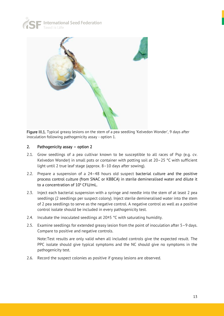



Figure III.1. Typical greasy lesions on the stem of a pea seedling 'Kelvedon Wonder', 9 days after inoculation following pathogenicity assay - option 1.

#### 2. Pathogenicity assay – option 2

- 2.1. Grow seedlings of a pea cultivar known to be susceptible to all races of Psp (e.g. cv. Kelvedon Wonder) in small pots or container with potting soil at 20–25 °C with sufficient light until 2 true leaf stage (approx. 8–10 days after sowing).
- 2.2. Prepare a suspension of a 24–48 hours old suspect bacterial culture and the positive process control culture (from SNAC or KBBCA) in sterile demineralised water and dilute it to a concentration of  $10^6$  CFU/mL.
- 2.3. Inject each bacterial suspension with a syringe and needle into the stem of at least 2 pea seedlings (2 seedlings per suspect colony). Inject sterile demineralised water into the stem of 2 pea seedlings to serve as the negative control. A negative control as well as a positive control isolate should be included in every pathogenicity test.
- 2.4. Incubate the inoculated seedlings at  $20\pm5$  °C with saturating humidity.
- 2.5. Examine seedlings for extended greasy lesion from the point of inoculation after 5–9 days. Compare to positive and negative controls.

Note:Test results are only valid when all included controls give the expected result. The PPC isolate should give typical symptoms and the NC should give no symptoms in the pathogenicity test.

2.6. Record the suspect colonies as positive if greasy lesions are observed.